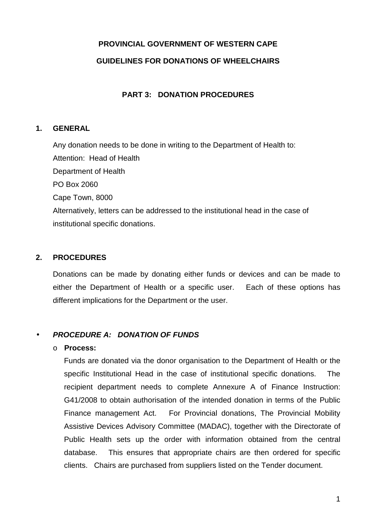# **PROVINCIAL GOVERNMENT OF WESTERN CAPE GUIDELINES FOR DONATIONS OF WHEELCHAIRS**

## **PART 3: DONATION PROCEDURES**

## **1. GENERAL**

Any donation needs to be done in writing to the Department of Health to: Attention: Head of Health Department of Health PO Box 2060 Cape Town, 8000 Alternatively, letters can be addressed to the institutional head in the case of institutional specific donations.

# **2. PROCEDURES**

Donations can be made by donating either funds or devices and can be made to either the Department of Health or a specific user. Each of these options has different implications for the Department or the user.

# • **PROCEDURE A: DONATION OF FUNDS**

#### o **Process:**

Funds are donated via the donor organisation to the Department of Health or the specific Institutional Head in the case of institutional specific donations. The recipient department needs to complete Annexure A of Finance Instruction: G41/2008 to obtain authorisation of the intended donation in terms of the Public Finance management Act. For Provincial donations, The Provincial Mobility Assistive Devices Advisory Committee (MADAC), together with the Directorate of Public Health sets up the order with information obtained from the central database. This ensures that appropriate chairs are then ordered for specific clients. Chairs are purchased from suppliers listed on the Tender document.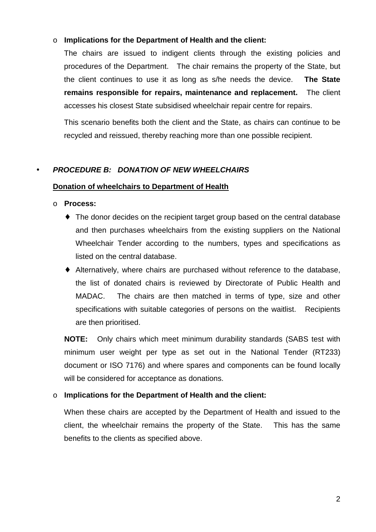## o **Implications for the Department of Health and the client:**

The chairs are issued to indigent clients through the existing policies and procedures of the Department. The chair remains the property of the State, but the client continues to use it as long as s/he needs the device. **The State remains responsible for repairs, maintenance and replacement.** The client accesses his closest State subsidised wheelchair repair centre for repairs.

This scenario benefits both the client and the State, as chairs can continue to be recycled and reissued, thereby reaching more than one possible recipient.

## • **PROCEDURE B: DONATION OF NEW WHEELCHAIRS**

#### **Donation of wheelchairs to Department of Health**

#### o **Process:**

- ♦ The donor decides on the recipient target group based on the central database and then purchases wheelchairs from the existing suppliers on the National Wheelchair Tender according to the numbers, types and specifications as listed on the central database.
- ♦ Alternatively, where chairs are purchased without reference to the database, the list of donated chairs is reviewed by Directorate of Public Health and MADAC. The chairs are then matched in terms of type, size and other specifications with suitable categories of persons on the waitlist. Recipients are then prioritised.

**NOTE:** Only chairs which meet minimum durability standards (SABS test with minimum user weight per type as set out in the National Tender (RT233) document or ISO 7176) and where spares and components can be found locally will be considered for acceptance as donations.

## o **Implications for the Department of Health and the client:**

When these chairs are accepted by the Department of Health and issued to the client, the wheelchair remains the property of the State. This has the same benefits to the clients as specified above.